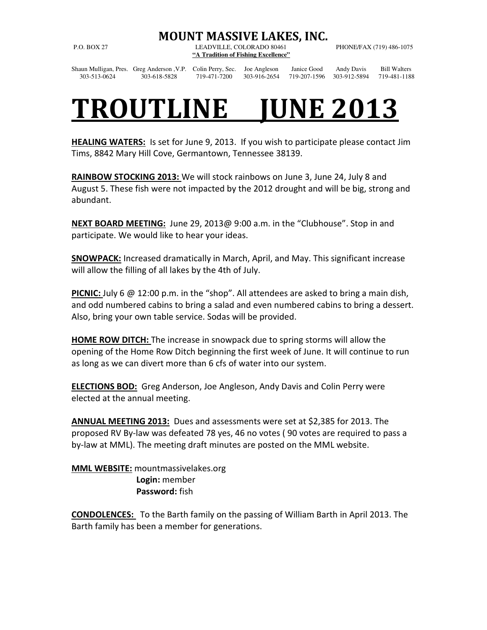## MOUNT MASSIVE LAKES, INC.

P.O. BOX 27 LEADVILLE, COLORADO 80461 PHONE/FAX (719) 486-1075 **"A Tradition of Fishing Excellence"** 

Shaun Mulligan, Pres. Greg Anderson ,V.P. Colin Perry, Sec. Joe Angleson Janice Good Andy Davis Bill Walters 303-513-0624 303-618-5828 719-471-7200 303-916-2654 719-207-1596 303-912-5894 719-481-1188

## TROUTLINE JUNE 2013

HEALING WATERS: Is set for June 9, 2013. If you wish to participate please contact Jim Tims, 8842 Mary Hill Cove, Germantown, Tennessee 38139.

RAINBOW STOCKING 2013: We will stock rainbows on June 3, June 24, July 8 and August 5. These fish were not impacted by the 2012 drought and will be big, strong and abundant.

NEXT BOARD MEETING: June 29, 2013@ 9:00 a.m. in the "Clubhouse". Stop in and participate. We would like to hear your ideas.

SNOWPACK: Increased dramatically in March, April, and May. This significant increase will allow the filling of all lakes by the 4th of July.

**PICNIC:** July 6  $\omega$  12:00 p.m. in the "shop". All attendees are asked to bring a main dish, and odd numbered cabins to bring a salad and even numbered cabins to bring a dessert. Also, bring your own table service. Sodas will be provided.

**HOME ROW DITCH:** The increase in snowpack due to spring storms will allow the opening of the Home Row Ditch beginning the first week of June. It will continue to run as long as we can divert more than 6 cfs of water into our system.

ELECTIONS BOD: Greg Anderson, Joe Angleson, Andy Davis and Colin Perry were elected at the annual meeting.

ANNUAL MEETING 2013: Dues and assessments were set at \$2,385 for 2013. The proposed RV By-law was defeated 78 yes, 46 no votes ( 90 votes are required to pass a by-law at MML). The meeting draft minutes are posted on the MML website.

**MML WEBSITE:** mountmassivelakes.org Login: member Password: fish

CONDOLENCES: To the Barth family on the passing of William Barth in April 2013. The Barth family has been a member for generations.